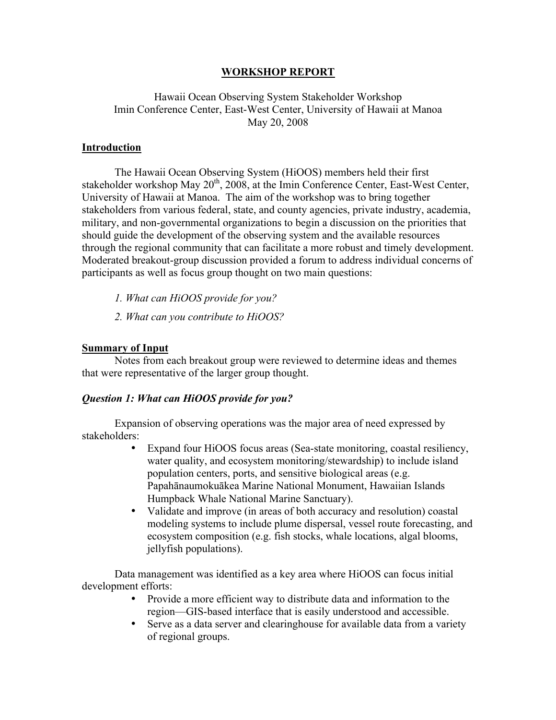### **WORKSHOP REPORT**

Hawaii Ocean Observing System Stakeholder Workshop Imin Conference Center, East-West Center, University of Hawaii at Manoa May 20, 2008

### **Introduction**

The Hawaii Ocean Observing System (HiOOS) members held their first stakeholder workshop May  $20^{th}$ ,  $2008$ , at the Imin Conference Center, East-West Center, University of Hawaii at Manoa. The aim of the workshop was to bring together stakeholders from various federal, state, and county agencies, private industry, academia, military, and non-governmental organizations to begin a discussion on the priorities that should guide the development of the observing system and the available resources through the regional community that can facilitate a more robust and timely development. Moderated breakout-group discussion provided a forum to address individual concerns of participants as well as focus group thought on two main questions:

- *1. What can HiOOS provide for you?*
- *2. What can you contribute to HiOOS?*

#### **Summary of Input**

Notes from each breakout group were reviewed to determine ideas and themes that were representative of the larger group thought.

#### *Question 1: What can HiOOS provide for you?*

Expansion of observing operations was the major area of need expressed by stakeholders:

- Expand four HiOOS focus areas (Sea-state monitoring, coastal resiliency, water quality, and ecosystem monitoring/stewardship) to include island population centers, ports, and sensitive biological areas (e.g. Papahānaumokuākea Marine National Monument, Hawaiian Islands Humpback Whale National Marine Sanctuary).
- Validate and improve (in areas of both accuracy and resolution) coastal modeling systems to include plume dispersal, vessel route forecasting, and ecosystem composition (e.g. fish stocks, whale locations, algal blooms, jellyfish populations).

Data management was identified as a key area where HiOOS can focus initial development efforts:

- Provide a more efficient way to distribute data and information to the region—GIS-based interface that is easily understood and accessible.
- Serve as a data server and clearinghouse for available data from a variety of regional groups.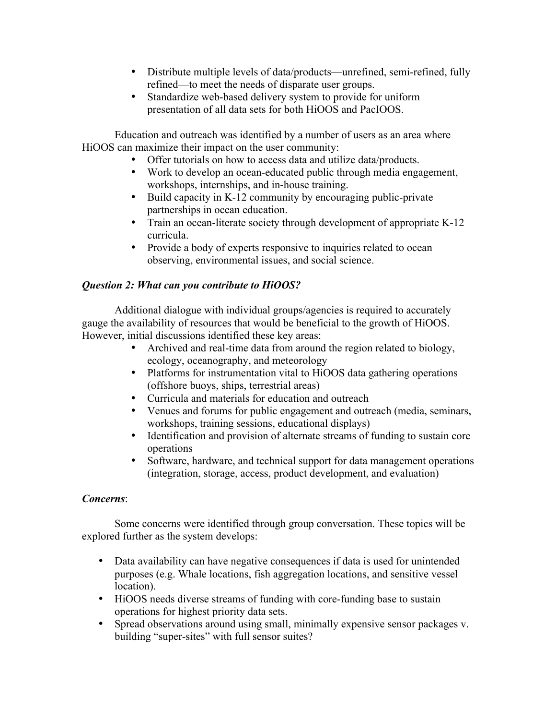- Distribute multiple levels of data/products—unrefined, semi-refined, fully refined—to meet the needs of disparate user groups.
- Standardize web-based delivery system to provide for uniform presentation of all data sets for both HiOOS and PacIOOS.

Education and outreach was identified by a number of users as an area where HiOOS can maximize their impact on the user community:

- Offer tutorials on how to access data and utilize data/products.
- Work to develop an ocean-educated public through media engagement, workshops, internships, and in-house training.
- Build capacity in K-12 community by encouraging public-private partnerships in ocean education.
- Train an ocean-literate society through development of appropriate K-12 curricula.
- Provide a body of experts responsive to inquiries related to ocean observing, environmental issues, and social science.

# *Question 2: What can you contribute to HiOOS?*

Additional dialogue with individual groups/agencies is required to accurately gauge the availability of resources that would be beneficial to the growth of HiOOS. However, initial discussions identified these key areas:

- Archived and real-time data from around the region related to biology, ecology, oceanography, and meteorology
- Platforms for instrumentation vital to HiOOS data gathering operations (offshore buoys, ships, terrestrial areas)
- Curricula and materials for education and outreach
- Venues and forums for public engagement and outreach (media, seminars, workshops, training sessions, educational displays)
- Identification and provision of alternate streams of funding to sustain core operations
- Software, hardware, and technical support for data management operations (integration, storage, access, product development, and evaluation)

# *Concerns*:

Some concerns were identified through group conversation. These topics will be explored further as the system develops:

- Data availability can have negative consequences if data is used for unintended purposes (e.g. Whale locations, fish aggregation locations, and sensitive vessel location).
- HiOOS needs diverse streams of funding with core-funding base to sustain operations for highest priority data sets.
- Spread observations around using small, minimally expensive sensor packages v. building "super-sites" with full sensor suites?